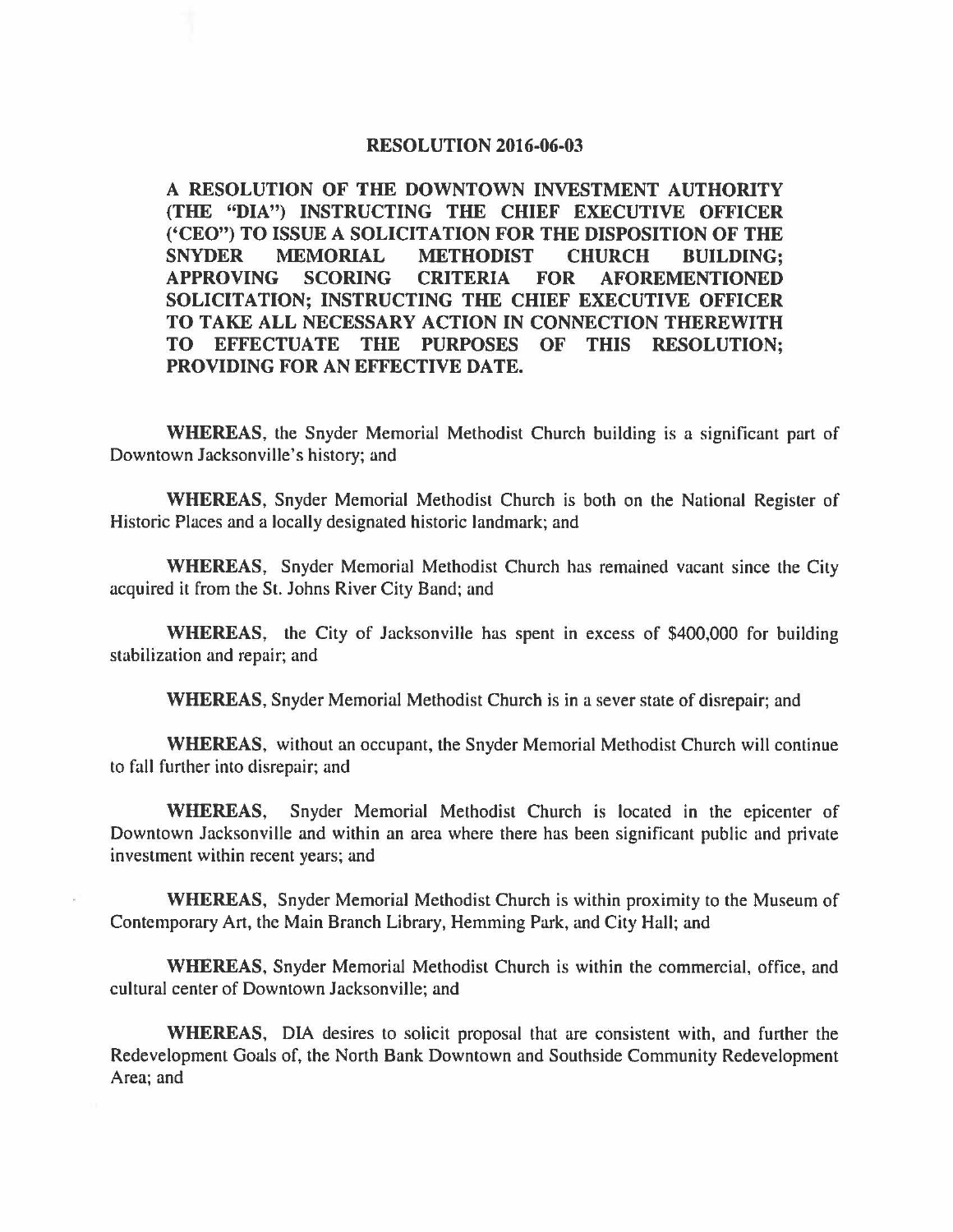## **RESOLUTION 2016-06-03**

**A RESOLUTION OF THE DOWNTOWN INVESTMENT AUTHORITY (THE "DIA") INSTRUCTING THE CHIEF EXECUTIVE OFFICER ('CEO") TO ISSUE A SOLICITATION FOR THE DISPOSITION OF THE SNYDER MEMORIAL METHODIST CHURCH BUILDING; APPROVING SCORING CRITERIA FOR AFOREMENTIONED SOLICITATION; INSTRUCTING THE CHIEF EXECUTIVE OFFICER TO TAKE ALL NECESSARY ACTION IN CONNECTION THEREWITH TO EFFECTUATE THE PURPOSES OF THIS RESOLUTION; PROVIDING FOR AN EFFECTIVE DATE.** 

**WHEREAS,** the Snyder Memorial Methodist Church building is a significant part of Downtown Jacksonville's history; and

**WHEREAS,** Snyder Memorial Methodist Church is both on the National Register of Historic Places and a locally designated historic landmark; and

**WHEREAS,** Snyder Memorial Methodist Church has remained vacant since the City acquired it from the St. Johns River City Band; and

**WHEREAS,** the City of Jacksonville has spent in excess of \$400,000 for building stabilization and repair; and

**WHEREAS,** Snyder Memorial Methodist Church is in a sever state of disrepair; and

**WHEREAS,** without an occupant, the Snyder Memorial Methodist Church will continue to fall further into disrepair; and

**WHEREAS,** Snyder Memorial Methodist Church is located in the epicenter of Downtown Jacksonville and within an area where there has been significant public and private investment within recent years; and

**WHEREAS,** Snyder Memorial Methodist Church is within proximity to the Museum of Contemporary Art, the Main Branch Library, Hemming Park, and City Hall; and

**WHEREAS,** Snyder Memorial Methodist Church is within the commercial, office, and cultural center of Downtown Jacksonville; and

**WHEREAS,** DIA desires to solicit proposal that are consistent with, and further the Redevelopment Goals of, the North Bank Downtown and Southside Community Redevelopment Area; and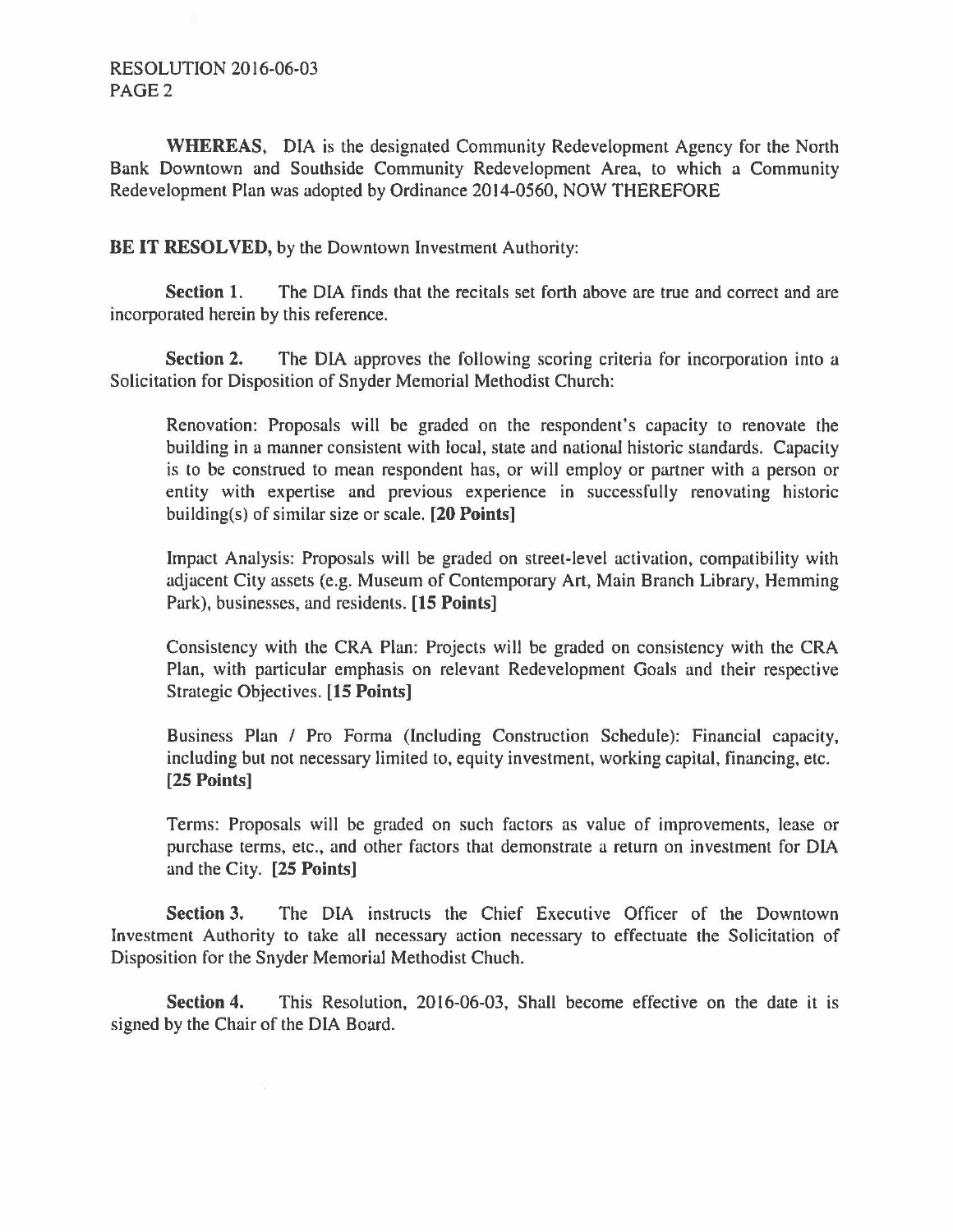## RESOLUTION 2016-06-03 PAGE2

**WHEREAS,** DIA is the designated Community Redevelopment Agency for the North Bank Downtown and Southside Community Redevelopment Area, to which a Community Redevelopment Plan was adopted by Ordinance 2014-0560, NOW THEREFORE

**BE IT RESOLVED, by the Downtown Investment Authority:** 

**Section 1.** The DIA finds that the recitals set forth above are true and correct and are incorporated herein by this reference.

**Section 2.** The DIA approves the following scoring criteria for incorporation into a Solicitation for Disposition of Snyder Memorial Methodist Church:

Renovation: Proposals will be graded on the respondent's capacity to renovate the building in a manner consistent with local, state and national historic standards. Capacity is to be construed to mean respondent has, or will employ or partner with a person or entity with expertise and previous experience in successfully renovating historic building(s) of similar size or scale. **[20 Points]** 

Impact Analysis: Proposals will be graded on street-level activation, compatibility with adjacent City assets (e.g. Museum of Contemporary Art, Main Branch Library, Hemming Park), businesses, and residents. **(15 Points]** 

Consistency with the CRA Plan: Projects will be graded on consistency with the CRA Plan, with particular emphasis on relevant Redevelopment Goals and their respective Strategic Objectives. **[15 Points]** 

Business Plan / Pro Forma (Including Construction Schedule): Financial capacity, including but not necessary limited to, equity investment, working capital, financing, etc. **[25 Points]** 

Terms: Proposals will be graded on such factors as value of improvements, lease or purchase terms, etc., and other factors that demonstrate a return on investment for DIA and the City. **[25 Points]** 

**Section 3.** The DIA instructs the Chief Executive Officer of the Downtown Investment Authority to take all necessary action necessary to effectuate the Solicitation of Disposition for the Snyder Memorial Methodist Chuch.

**Section 4.** This Resolution, 2016-06-03, Shall become effective on the date it is signed by the Chair of the DIA Board.